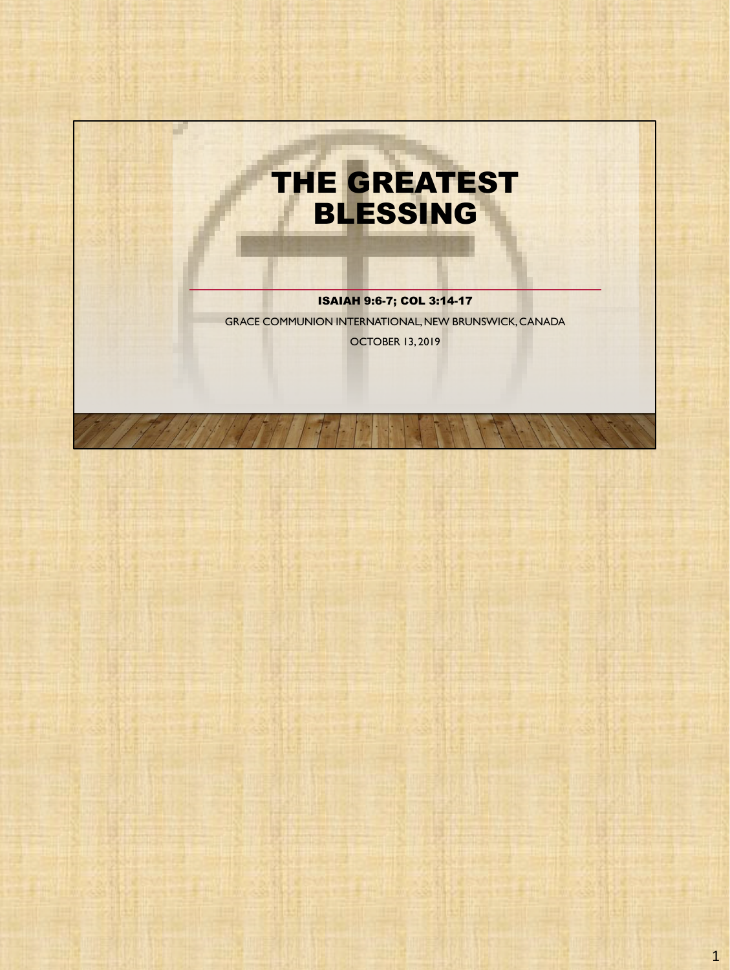

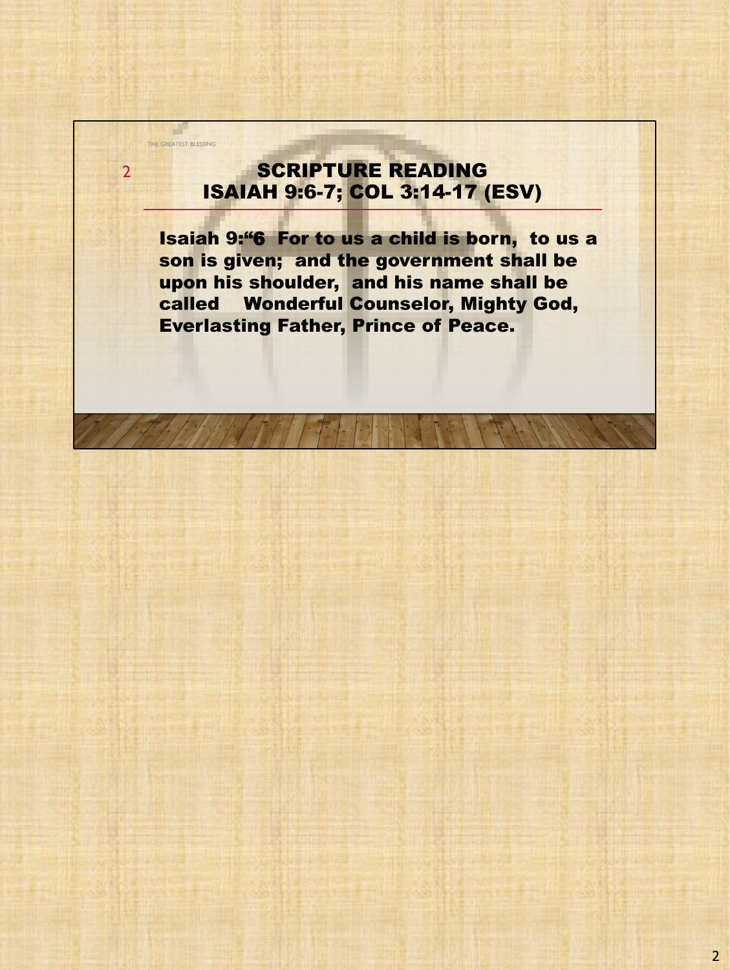### SCRIPTURE READING ISAIAH 9:6-7; COL 3:14-17 (ESV)

THE GREATEST BLESSING

a l

2

Isaiah 9:"6 For to us a child is born, to us a son is given; and the government shall be upon his shoulder, and his name shall be called Wonderful Counselor, Mighty God, Everlasting Father, Prince of Peace.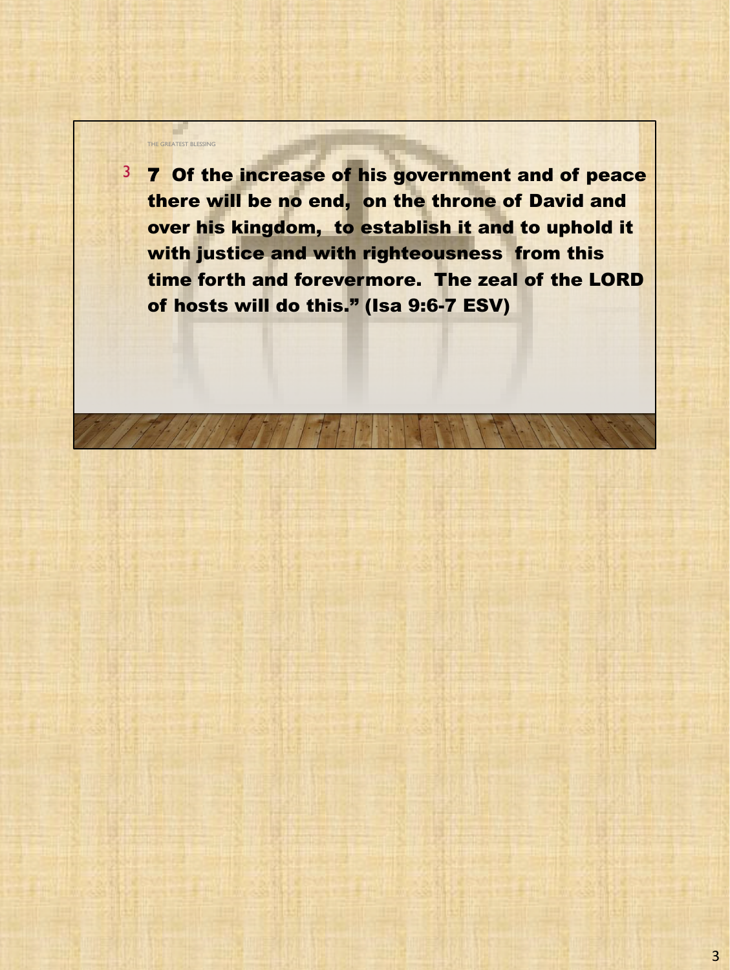3 7 Of the increase of his government and of peace there will be no end, on the throne of David and over his kingdom, to establish it and to uphold it with justice and with righteousness from this time forth and forevermore. The zeal of the LORD of hosts will do this." (Isa 9:6-7 ESV)

THE GREATEST BLESSING

a l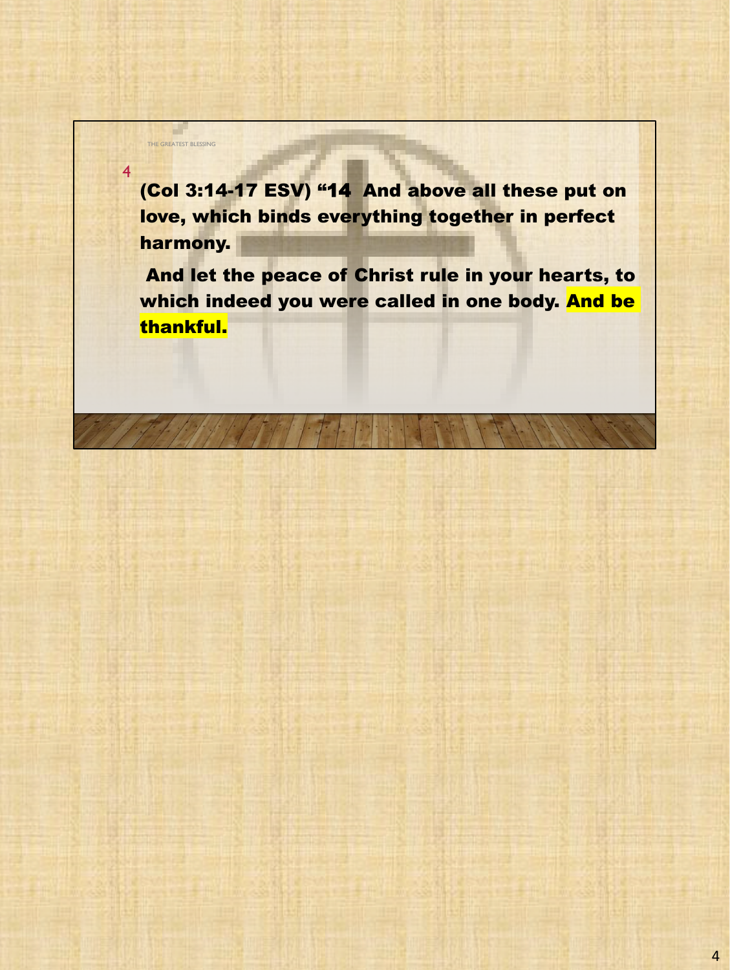(Col 3:14-17 ESV) "14 And above all these put on love, which binds everything together in perfect harmony.

THE GREATEST BLESSING

a l

4

And let the peace of Christ rule in your hearts, to which indeed you were called in one body. And be thankful.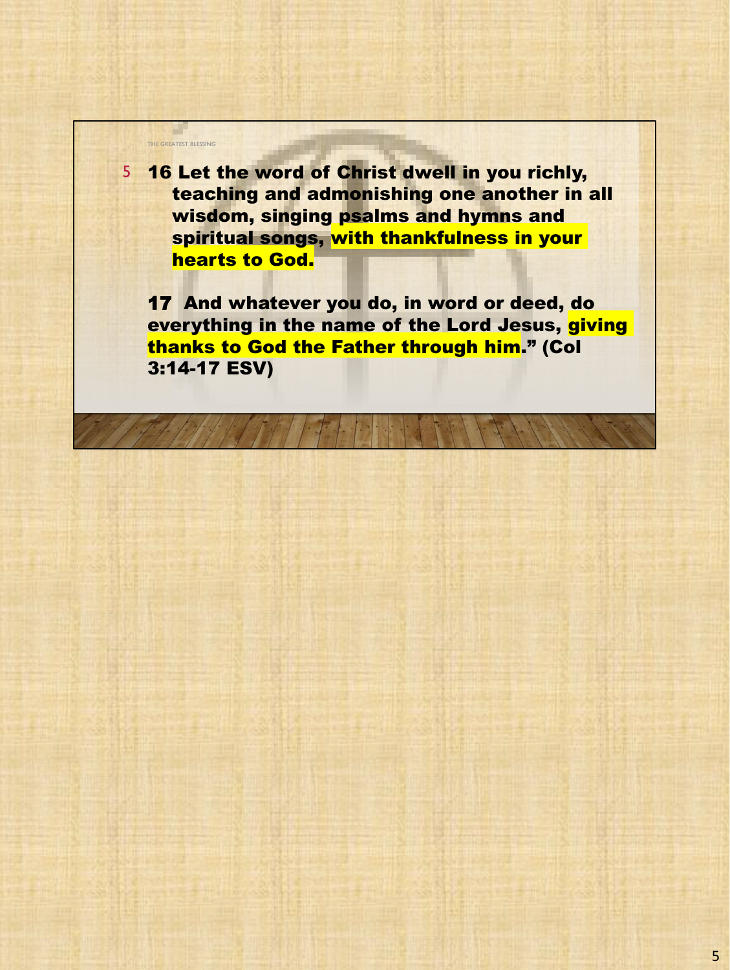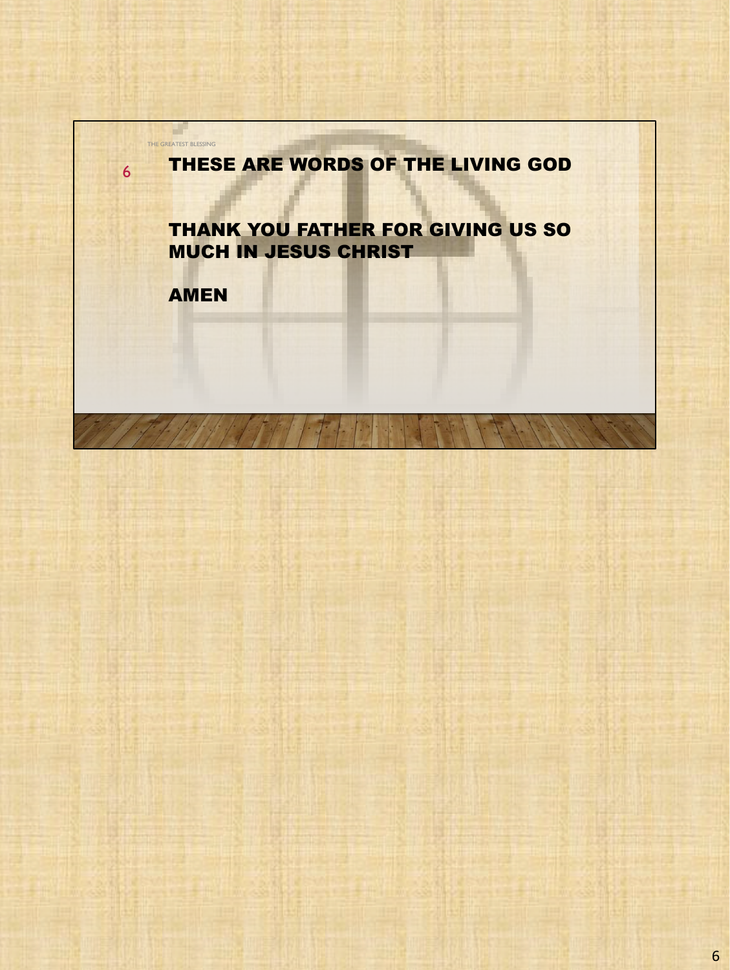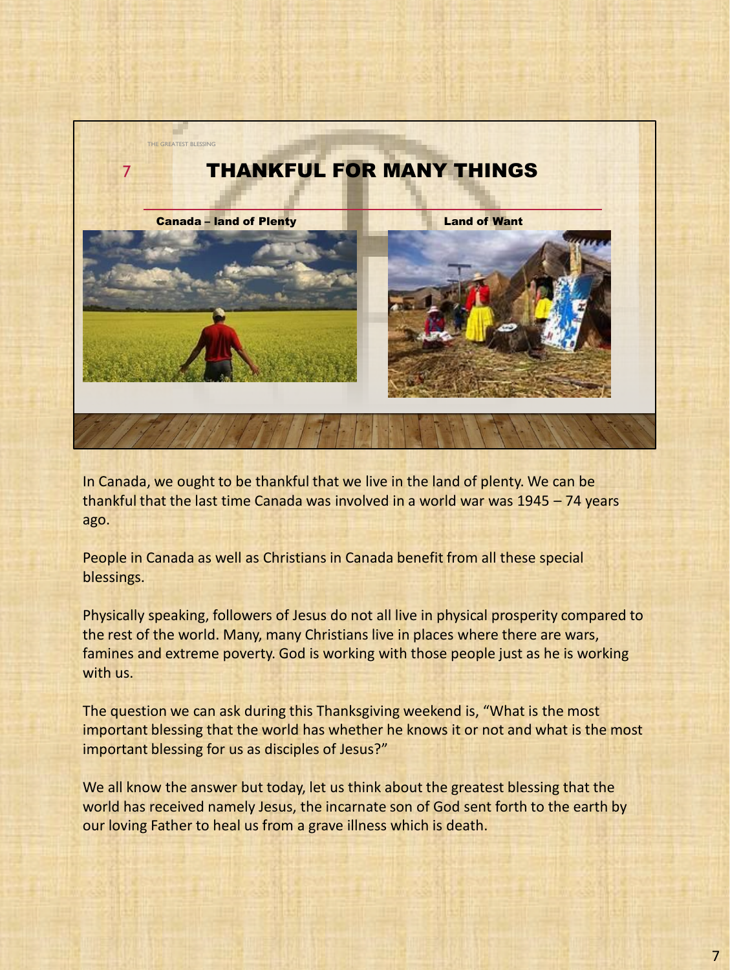

In Canada, we ought to be thankful that we live in the land of plenty. We can be thankful that the last time Canada was involved in a world war was 1945 – 74 years ago.

People in Canada as well as Christians in Canada benefit from all these special blessings.

Physically speaking, followers of Jesus do not all live in physical prosperity compared to the rest of the world. Many, many Christians live in places where there are wars, famines and extreme poverty. God is working with those people just as he is working with us.

The question we can ask during this Thanksgiving weekend is, "What is the most important blessing that the world has whether he knows it or not and what is the most important blessing for us as disciples of Jesus?"

We all know the answer but today, let us think about the greatest blessing that the world has received namely Jesus, the incarnate son of God sent forth to the earth by our loving Father to heal us from a grave illness which is death.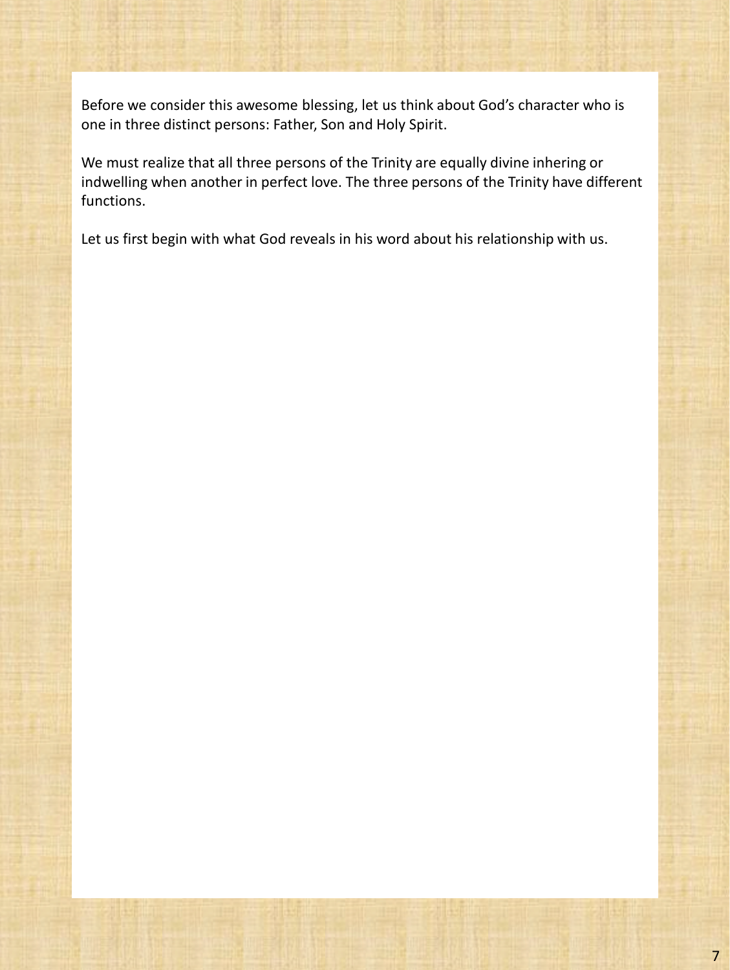Before we consider this awesome blessing, let us think about God's character who is one in three distinct persons: Father, Son and Holy Spirit.

We must realize that all three persons of the Trinity are equally divine inhering or indwelling when another in perfect love. The three persons of the Trinity have different functions.

Let us first begin with what God reveals in his word about his relationship with us.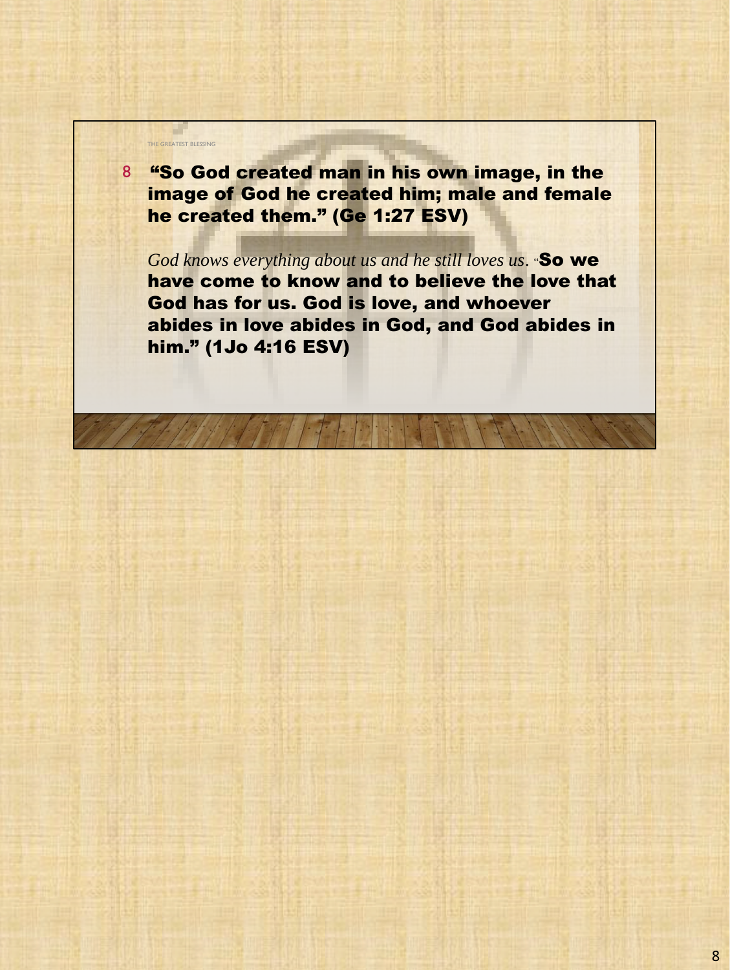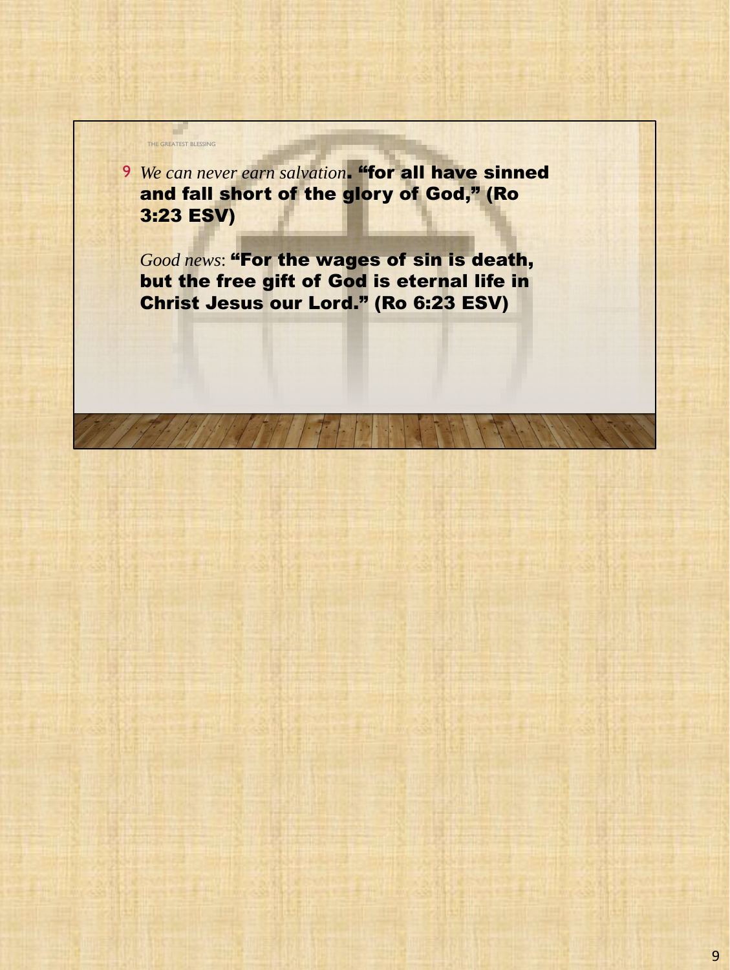9 *We can never earn salvation*. "for all have sinned and fall short of the glory of God," (Ro 3:23 ESV)

THE GREATEST BLESSING

a l

*Good news*: "For the wages of sin is death, but the free gift of God is eternal life in Christ Jesus our Lord." (Ro 6:23 ESV)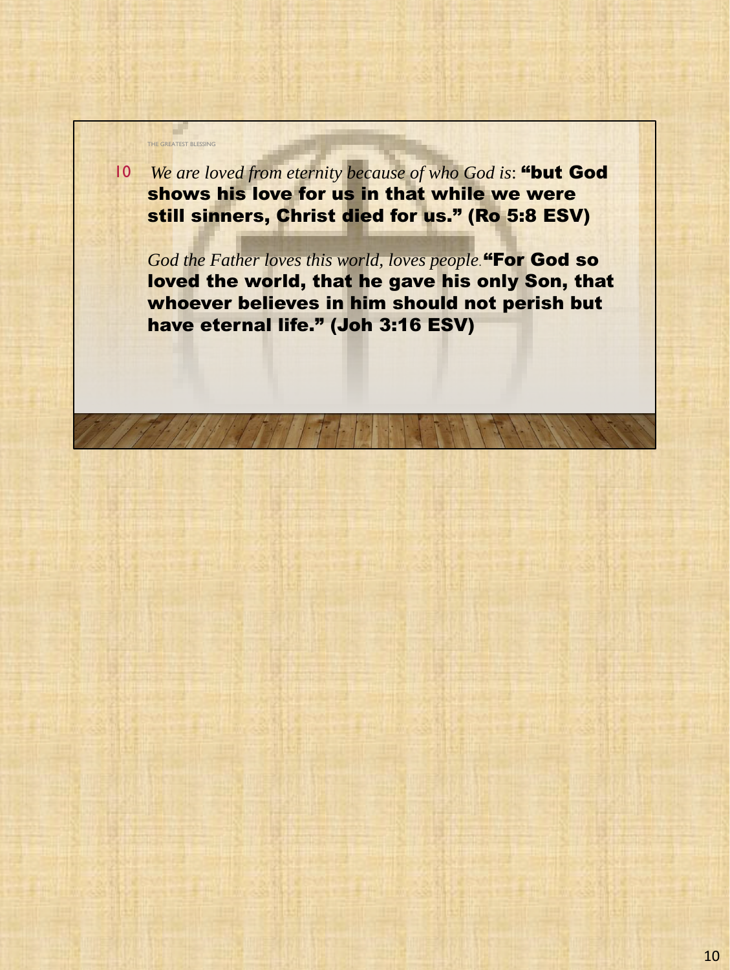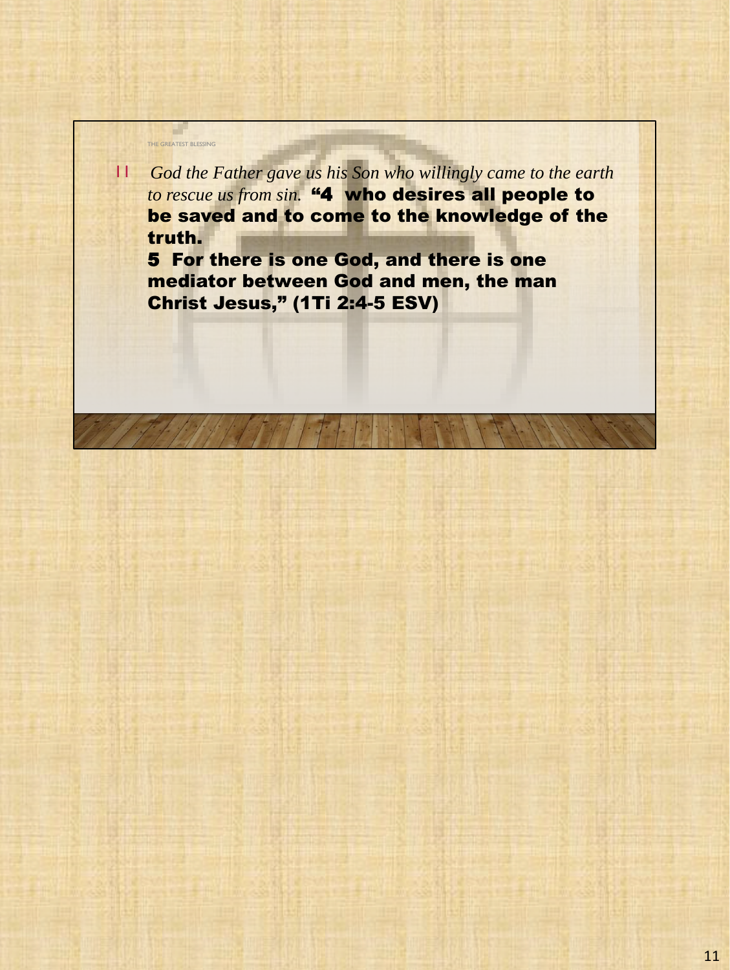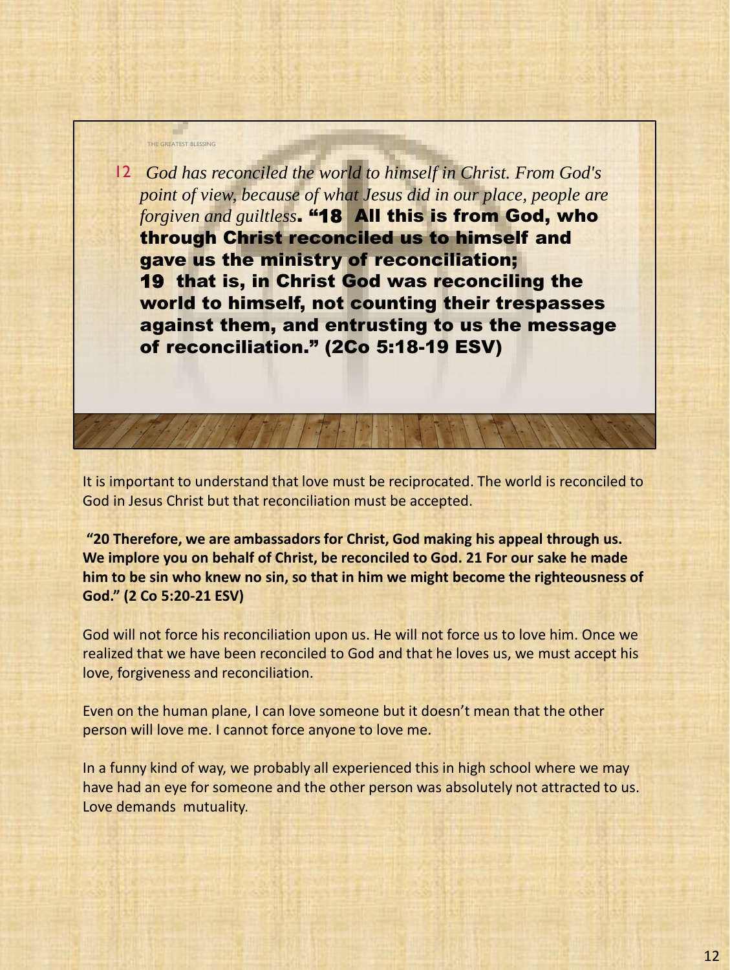

It is important to understand that love must be reciprocated. The world is reconciled to God in Jesus Christ but that reconciliation must be accepted.

**"20 Therefore, we are ambassadors for Christ, God making his appeal through us. We implore you on behalf of Christ, be reconciled to God. 21 For our sake he made him to be sin who knew no sin, so that in him we might become the righteousness of God." (2 Co 5:20-21 ESV)**

God will not force his reconciliation upon us. He will not force us to love him. Once we realized that we have been reconciled to God and that he loves us, we must accept his love, forgiveness and reconciliation.

Even on the human plane, I can love someone but it doesn't mean that the other person will love me. I cannot force anyone to love me.

In a funny kind of way, we probably all experienced this in high school where we may have had an eye for someone and the other person was absolutely not attracted to us. Love demands mutuality.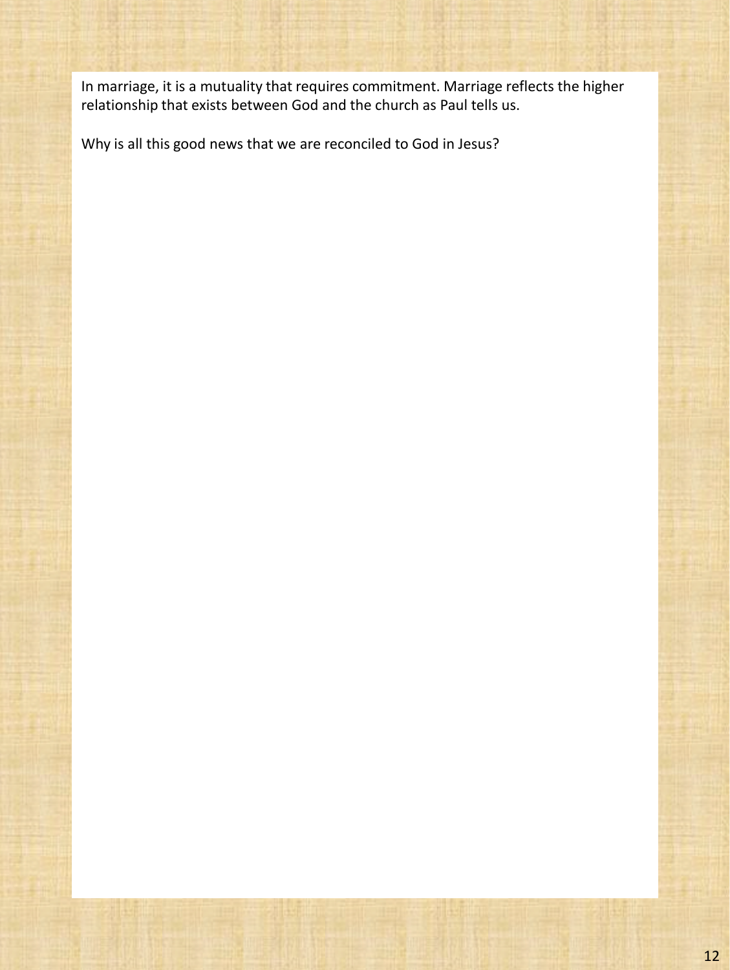In marriage, it is a mutuality that requires commitment. Marriage reflects the higher relationship that exists between God and the church as Paul tells us.

Why is all this good news that we are reconciled to God in Jesus?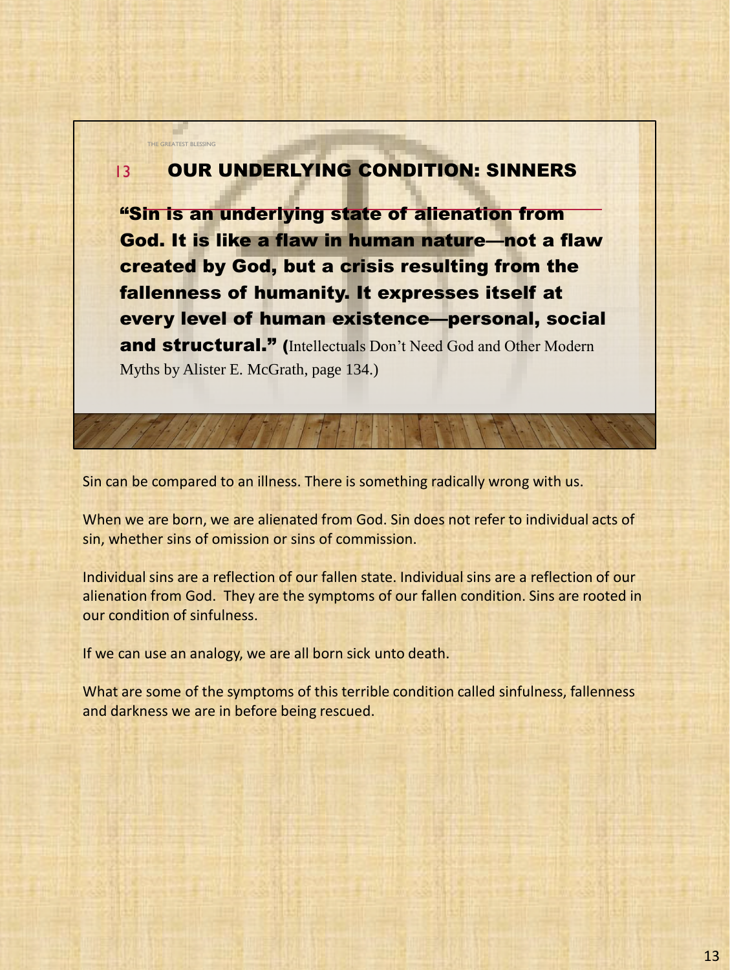#### OUR UNDERLYING CONDITION: SINNERS 13

THE GREATEST BLESSING

"Sin is an underlying state of alienation from God. It is like a flaw in human nature—not a flaw created by God, but a crisis resulting from the fallenness of humanity. It expresses itself at every level of human existence—personal, social and structural." (Intellectuals Don't Need God and Other Modern Myths by Alister E. McGrath, page 134.)

Sin can be compared to an illness. There is something radically wrong with us.

When we are born, we are alienated from God. Sin does not refer to individual acts of sin, whether sins of omission or sins of commission.

Individual sins are a reflection of our fallen state. Individual sins are a reflection of our alienation from God. They are the symptoms of our fallen condition. Sins are rooted in our condition of sinfulness.

If we can use an analogy, we are all born sick unto death.

What are some of the symptoms of this terrible condition called sinfulness, fallenness and darkness we are in before being rescued.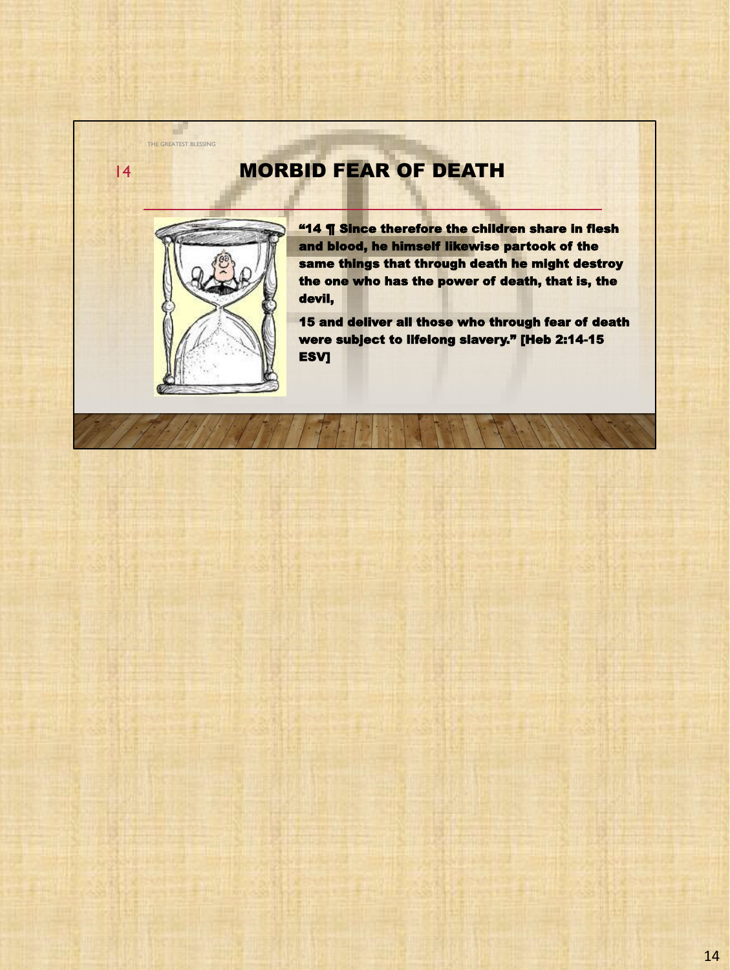# MORBID FEAR OF DEATH



THE GREATEST BLESSING

a l

14

**"14 ¶ Since therefore the children share in flesh** and blood, he himself likewise partook of the same things that through death he might destroy the one who has the power of death, that is, the devil,

15 and deliver all those who through fear of death were subject to lifelong slavery." [Heb 2:14-15 **ESV]**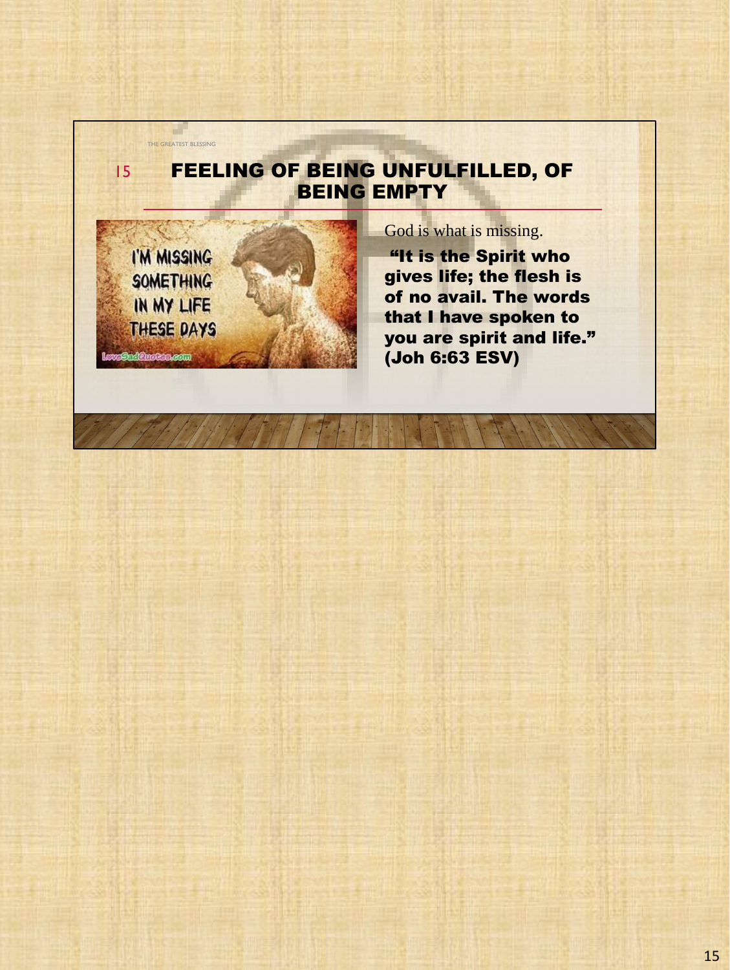### FEELING OF BEING UNFULFILLED, OF BEING EMPTY



THE GREATEST BLESSING

 $\sim$ 

15

God is what is missing.

"It is the Spirit who gives life; the flesh is of no avail. The words that I have spoken to you are spirit and life." (Joh 6:63 ESV)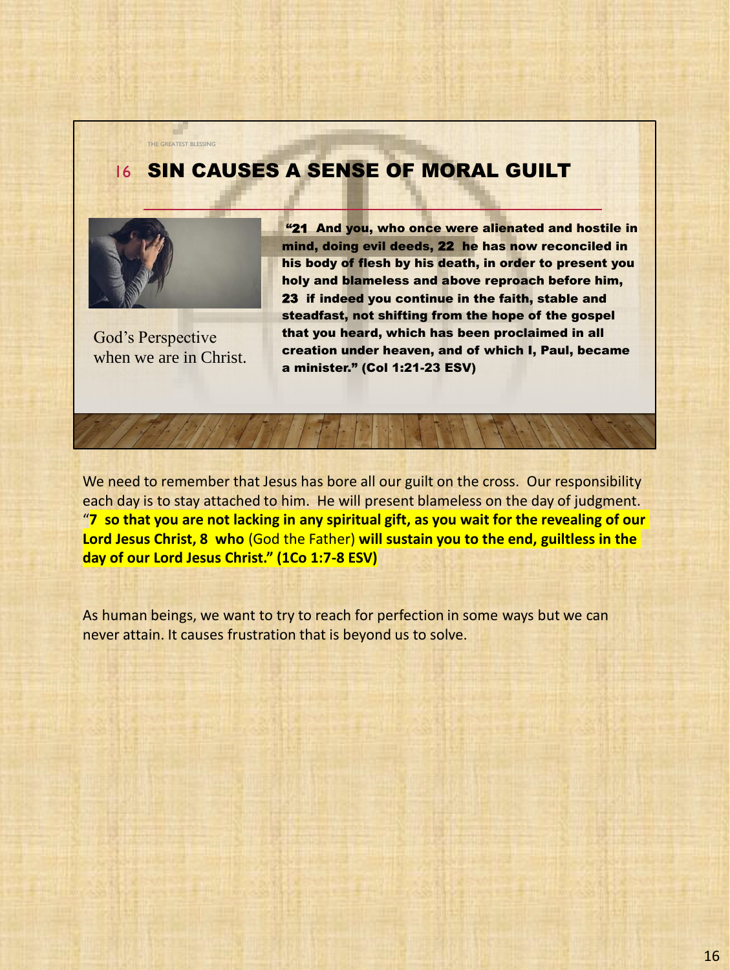## **16 SIN CAUSES A SENSE OF MORAL GUILT**



THE GREATEST BLESSING

God's Perspective when we are in Christ.

"21 And you, who once were alienated and hostile in mind, doing evil deeds, 22 he has now reconciled in his body of flesh by his death, in order to present you holy and blameless and above reproach before him, 23 if indeed you continue in the faith, stable and steadfast, not shifting from the hope of the gospel that you heard, which has been proclaimed in all creation under heaven, and of which I, Paul, became a minister." (Col 1:21-23 ESV)

We need to remember that Jesus has bore all our guilt on the cross. Our responsibility each day is to stay attached to him. He will present blameless on the day of judgment. "**7 so that you are not lacking in any spiritual gift, as you wait for the revealing of our Lord Jesus Christ, 8 who** (God the Father) **will sustain you to the end, guiltless in the day of our Lord Jesus Christ." (1Co 1:7-8 ESV)**

As human beings, we want to try to reach for perfection in some ways but we can never attain. It causes frustration that is beyond us to solve.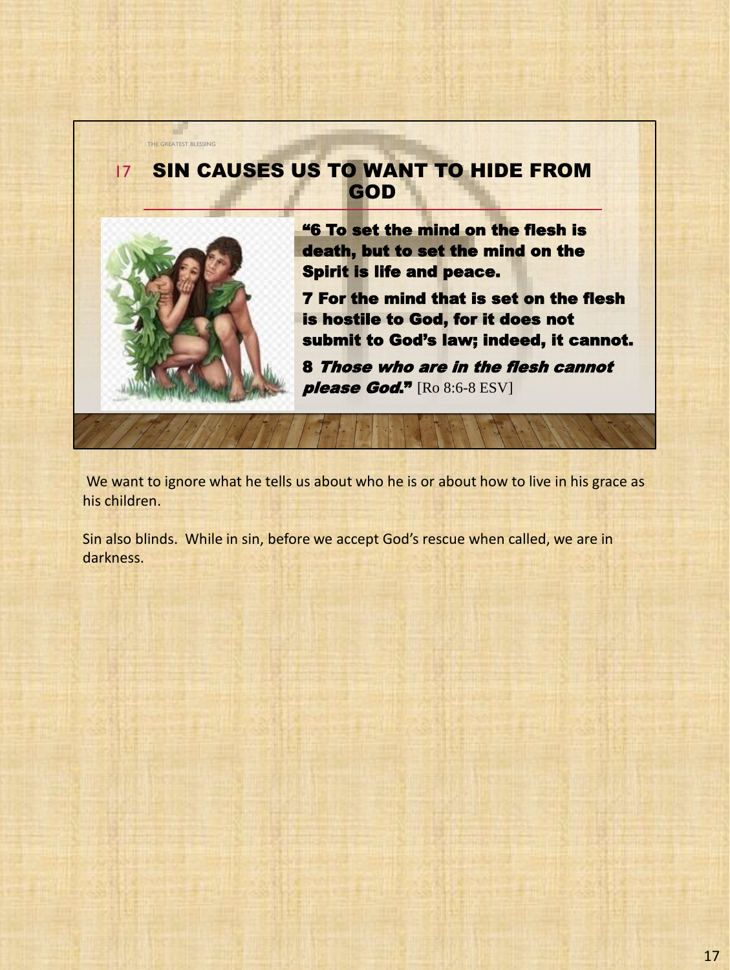

We want to ignore what he tells us about who he is or about how to live in his grace as his children.

Sin also blinds. While in sin, before we accept God's rescue when called, we are in darkness.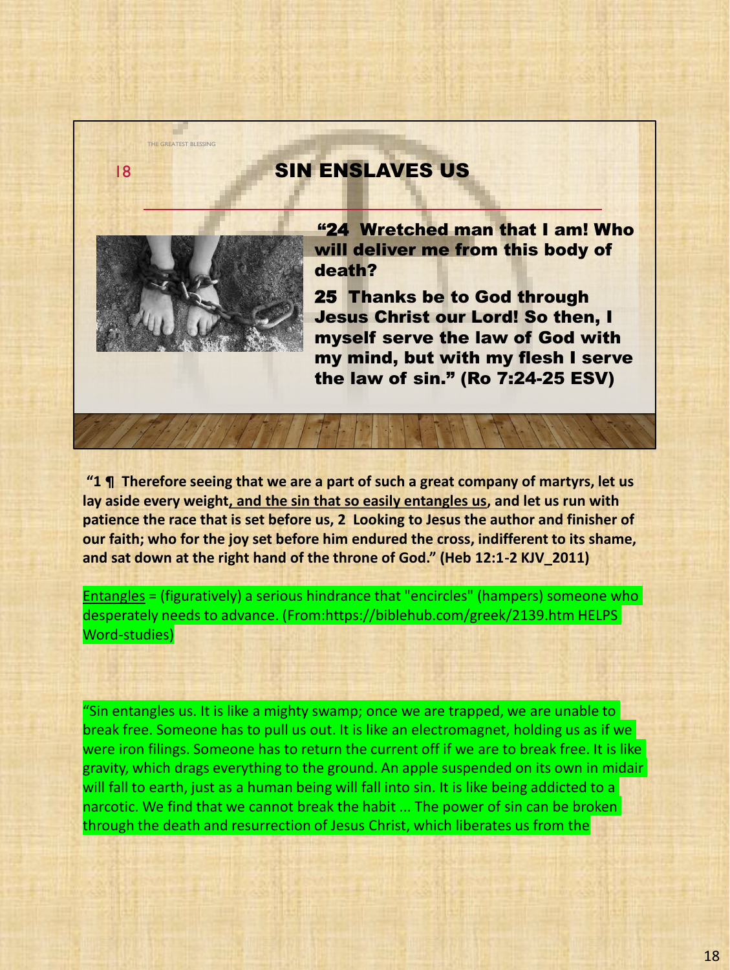#### SIN ENSLAVES US



THE GREATEST BLESSING

18

"24 Wretched man that I am! Who will deliver me from this body of death?

25 Thanks be to God through Jesus Christ our Lord! So then, I myself serve the law of God with my mind, but with my flesh I serve the law of sin." (Ro 7:24-25 ESV)

**"1 ¶ Therefore seeing that we are a part of such a great company of martyrs, let us lay aside every weight, and the sin that so easily entangles us, and let us run with patience the race that is set before us, 2 Looking to Jesus the author and finisher of our faith; who for the joy set before him endured the cross, indifferent to its shame, and sat down at the right hand of the throne of God." (Heb 12:1-2 KJV\_2011)**

Entangles = (figuratively) a serious hindrance that "encircles" (hampers) someone who desperately needs to advance. (From:https://biblehub.com/greek/2139.htm HELPS Word-studies)

"Sin entangles us. It is like a mighty swamp; once we are trapped, we are unable to break free. Someone has to pull us out. It is like an electromagnet, holding us as if we were iron filings. Someone has to return the current off if we are to break free. It is like gravity, which drags everything to the ground. An apple suspended on its own in midair will fall to earth, just as a human being will fall into sin. It is like being addicted to a narcotic. We find that we cannot break the habit ... The power of sin can be broken through the death and resurrection of Jesus Christ, which liberates us from the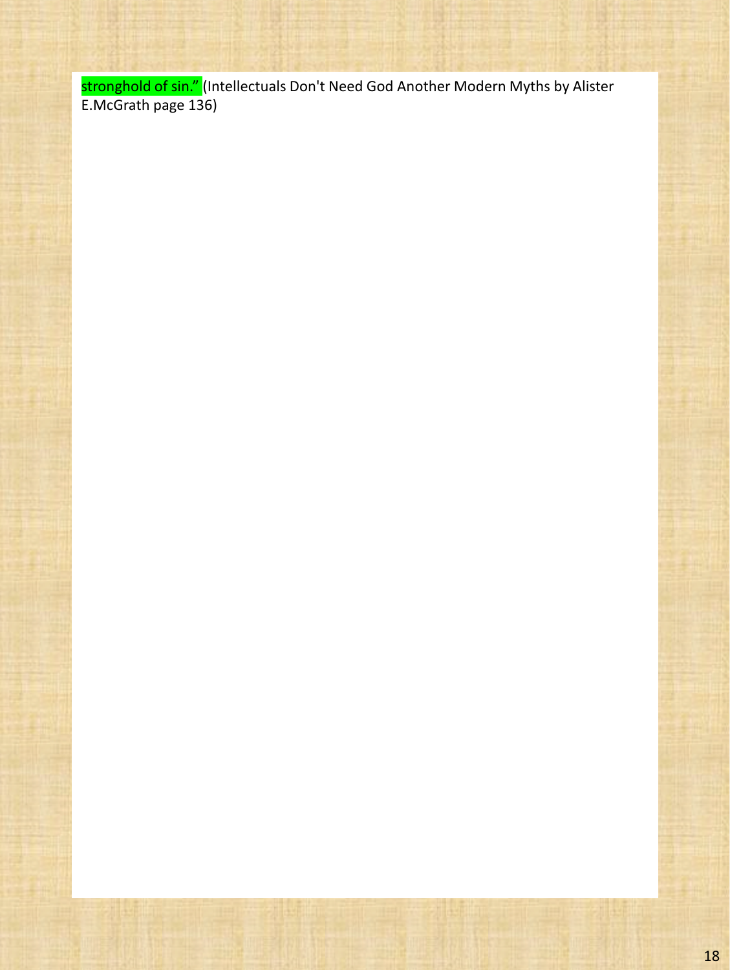<mark>stronghold of sin." (</mark>Intellectuals Don't Need God Another Modern Myths by Alister E.McGrath page 136)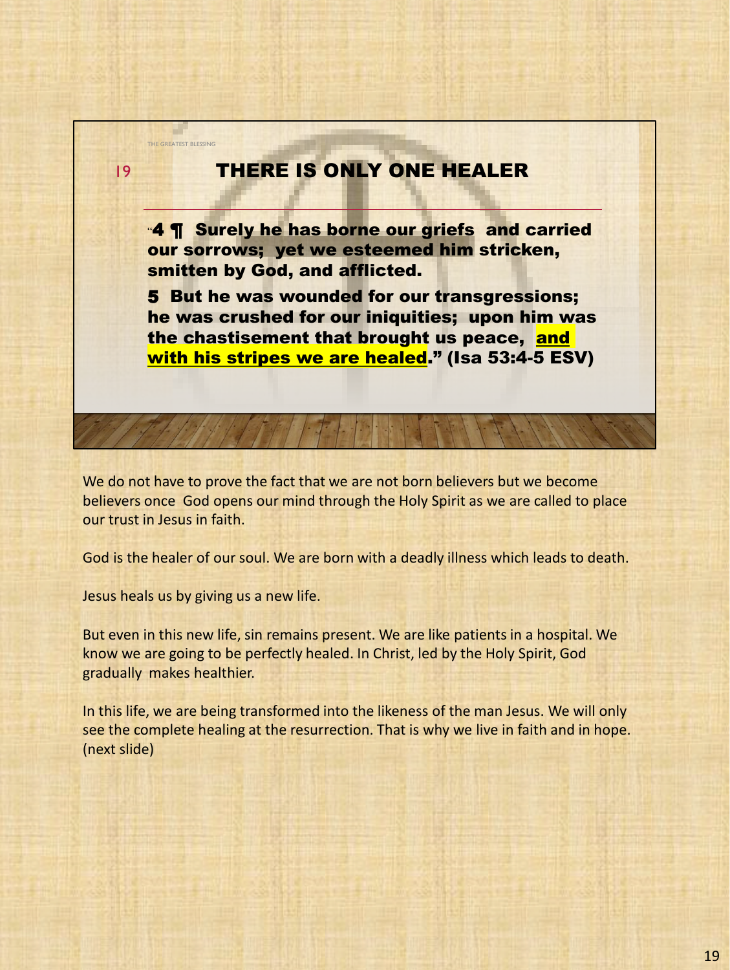# THERE IS ONLY ONE HEALER

"4 ¶ Surely he has borne our griefs and carried our sorrows; yet we esteemed him stricken, smitten by God, and afflicted.

5 But he was wounded for our transgressions; he was crushed for our iniquities; upon him was the chastisement that brought us peace, and with his stripes we are healed." (Isa 53:4-5 ESV)

We do not have to prove the fact that we are not born believers but we become believers once God opens our mind through the Holy Spirit as we are called to place our trust in Jesus in faith.

God is the healer of our soul. We are born with a deadly illness which leads to death.

Jesus heals us by giving us a new life.

THE GREATEST BLESSING

19

But even in this new life, sin remains present. We are like patients in a hospital. We know we are going to be perfectly healed. In Christ, led by the Holy Spirit, God gradually makes healthier.

In this life, we are being transformed into the likeness of the man Jesus. We will only see the complete healing at the resurrection. That is why we live in faith and in hope. (next slide)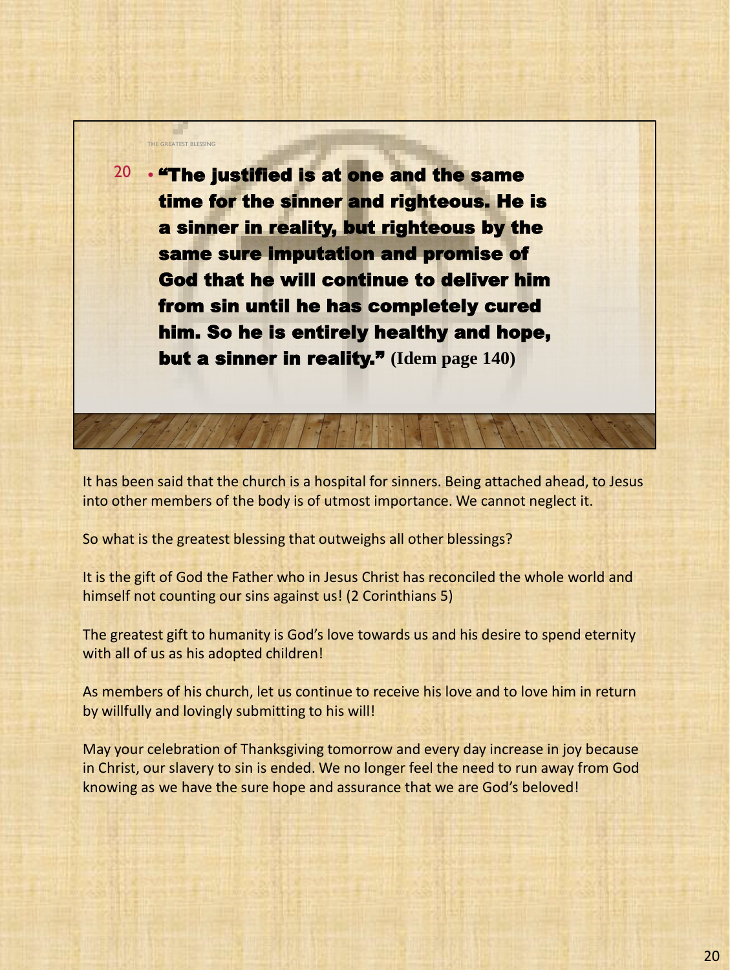

It has been said that the church is a hospital for sinners. Being attached ahead, to Jesus into other members of the body is of utmost importance. We cannot neglect it.

So what is the greatest blessing that outweighs all other blessings?

It is the gift of God the Father who in Jesus Christ has reconciled the whole world and himself not counting our sins against us! (2 Corinthians 5)

The greatest gift to humanity is God's love towards us and his desire to spend eternity with all of us as his adopted children!

As members of his church, let us continue to receive his love and to love him in return by willfully and lovingly submitting to his will!

May your celebration of Thanksgiving tomorrow and every day increase in joy because in Christ, our slavery to sin is ended. We no longer feel the need to run away from God knowing as we have the sure hope and assurance that we are God's beloved!